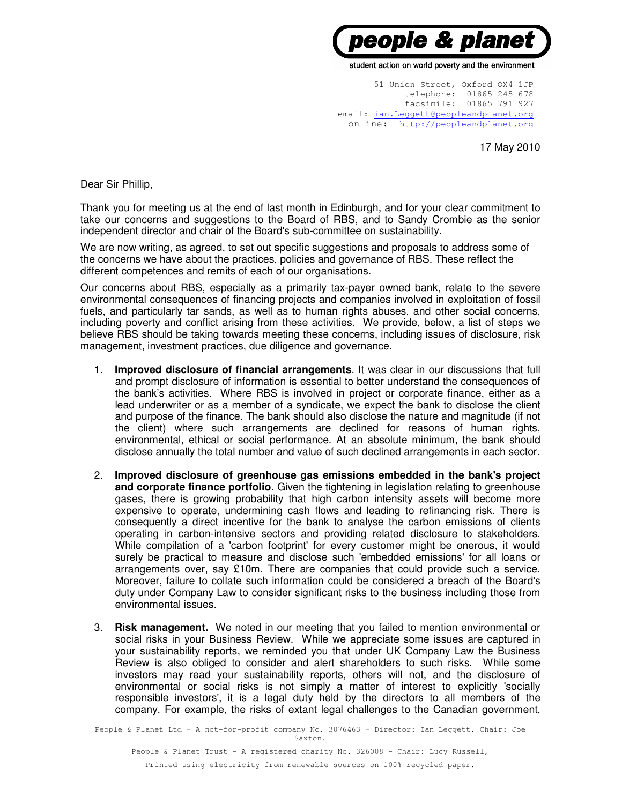

student action on world poverty and the environment

51 Union Street, Oxford OX4 1JP telephone: 01865 245 678 facsimile: 01865 791 927 email: ian.Leggett@peopleandplanet.org online: http://peopleandplanet.org

17 May 2010

Dear Sir Phillip,

Thank you for meeting us at the end of last month in Edinburgh, and for your clear commitment to take our concerns and suggestions to the Board of RBS, and to Sandy Crombie as the senior independent director and chair of the Board's sub-committee on sustainability.

We are now writing, as agreed, to set out specific suggestions and proposals to address some of the concerns we have about the practices, policies and governance of RBS. These reflect the different competences and remits of each of our organisations.

Our concerns about RBS, especially as a primarily tax-payer owned bank, relate to the severe environmental consequences of financing projects and companies involved in exploitation of fossil fuels, and particularly tar sands, as well as to human rights abuses, and other social concerns, including poverty and conflict arising from these activities. We provide, below, a list of steps we believe RBS should be taking towards meeting these concerns, including issues of disclosure, risk management, investment practices, due diligence and governance.

- 1. **Improved disclosure of financial arrangements**. It was clear in our discussions that full and prompt disclosure of information is essential to better understand the consequences of the bank's activities. Where RBS is involved in project or corporate finance, either as a lead underwriter or as a member of a syndicate, we expect the bank to disclose the client and purpose of the finance. The bank should also disclose the nature and magnitude (if not the client) where such arrangements are declined for reasons of human rights, environmental, ethical or social performance. At an absolute minimum, the bank should disclose annually the total number and value of such declined arrangements in each sector.
- 2. **Improved disclosure of greenhouse gas emissions embedded in the bank's project and corporate finance portfolio**. Given the tightening in legislation relating to greenhouse gases, there is growing probability that high carbon intensity assets will become more expensive to operate, undermining cash flows and leading to refinancing risk. There is consequently a direct incentive for the bank to analyse the carbon emissions of clients operating in carbon-intensive sectors and providing related disclosure to stakeholders. While compilation of a 'carbon footprint' for every customer might be onerous, it would surely be practical to measure and disclose such 'embedded emissions' for all loans or arrangements over, say £10m. There are companies that could provide such a service. Moreover, failure to collate such information could be considered a breach of the Board's duty under Company Law to consider significant risks to the business including those from environmental issues.
- 3. **Risk management.** We noted in our meeting that you failed to mention environmental or social risks in your Business Review. While we appreciate some issues are captured in your sustainability reports, we reminded you that under UK Company Law the Business Review is also obliged to consider and alert shareholders to such risks. While some investors may read your sustainability reports, others will not, and the disclosure of environmental or social risks is not simply a matter of interest to explicitly 'socially responsible investors', it is a legal duty held by the directors to all members of the company. For example, the risks of extant legal challenges to the Canadian government,

People & Planet Ltd – A not-for-profit company No. 3076463 – Director: Ian Leggett. Chair: Joe Saxton.

People & Planet Trust - A registered charity No. 326008 - Chair: Lucy Russell, Printed using electricity from renewable sources on 100% recycled paper.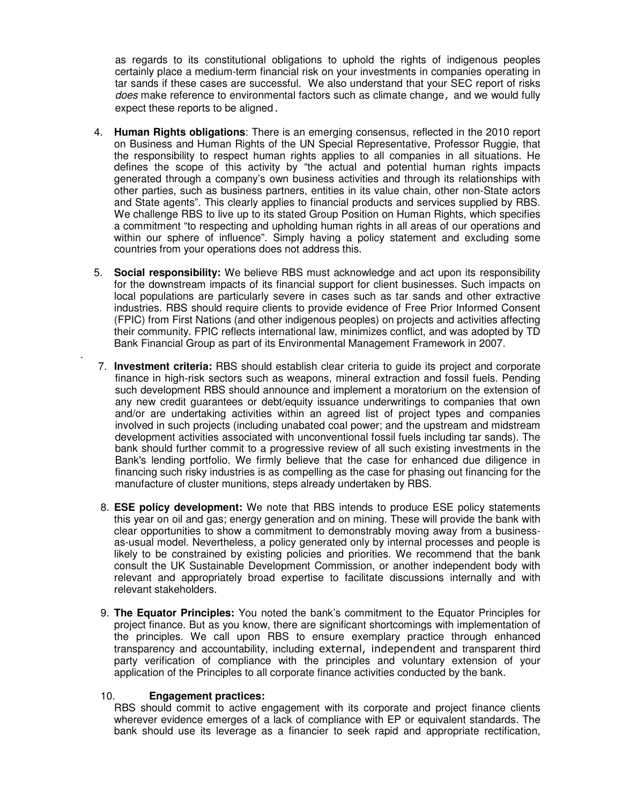as regards to its constitutional obligations to uphold the rights of indigenous peoples certainly place a medium-term financial risk on your investments in companies operating in tar sands if these cases are successful. We also understand that your SEC report of risks does make reference to environmental factors such as climate change, and we would fully expect these reports to be aligned.

- 4. **Human Rights obligations**: There is an emerging consensus, reflected in the 2010 report on Business and Human Rights of the UN Special Representative, Professor Ruggie, that the responsibility to respect human rights applies to all companies in all situations. He defines the scope of this activity by "the actual and potential human rights impacts generated through a company's own business activities and through its relationships with other parties, such as business partners, entities in its value chain, other non-State actors and State agents". This clearly applies to financial products and services supplied by RBS. We challenge RBS to live up to its stated Group Position on Human Rights, which specifies a commitment "to respecting and upholding human rights in all areas of our operations and within our sphere of influence". Simply having a policy statement and excluding some countries from your operations does not address this.
- 5. **Social responsibility:** We believe RBS must acknowledge and act upon its responsibility for the downstream impacts of its financial support for client businesses. Such impacts on local populations are particularly severe in cases such as tar sands and other extractive industries. RBS should require clients to provide evidence of Free Prior Informed Consent (FPIC) from First Nations (and other indigenous peoples) on projects and activities affecting their community. FPIC reflects international law, minimizes conflict, and was adopted by TD Bank Financial Group as part of its Environmental Management Framework in 2007.
- 7. **Investment criteria:** RBS should establish clear criteria to guide its project and corporate finance in high-risk sectors such as weapons, mineral extraction and fossil fuels. Pending such development RBS should announce and implement a moratorium on the extension of any new credit guarantees or debt/equity issuance underwritings to companies that own and/or are undertaking activities within an agreed list of project types and companies involved in such projects (including unabated coal power; and the upstream and midstream development activities associated with unconventional fossil fuels including tar sands). The bank should further commit to a progressive review of all such existing investments in the Bank's lending portfolio. We firmly believe that the case for enhanced due diligence in financing such risky industries is as compelling as the case for phasing out financing for the manufacture of cluster munitions, steps already undertaken by RBS.
- 8. **ESE policy development:** We note that RBS intends to produce ESE policy statements this year on oil and gas; energy generation and on mining. These will provide the bank with clear opportunities to show a commitment to demonstrably moving away from a businessas-usual model. Nevertheless, a policy generated only by internal processes and people is likely to be constrained by existing policies and priorities. We recommend that the bank consult the UK Sustainable Development Commission, or another independent body with relevant and appropriately broad expertise to facilitate discussions internally and with relevant stakeholders.
- 9. **The Equator Principles:** You noted the bank's commitment to the Equator Principles for project finance. But as you know, there are significant shortcomings with implementation of the principles. We call upon RBS to ensure exemplary practice through enhanced transparency and accountability, including external, independent and transparent third party verification of compliance with the principles and voluntary extension of your application of the Principles to all corporate finance activities conducted by the bank.

## 10. **Engagement practices:**

.

RBS should commit to active engagement with its corporate and project finance clients wherever evidence emerges of a lack of compliance with EP or equivalent standards. The bank should use its leverage as a financier to seek rapid and appropriate rectification,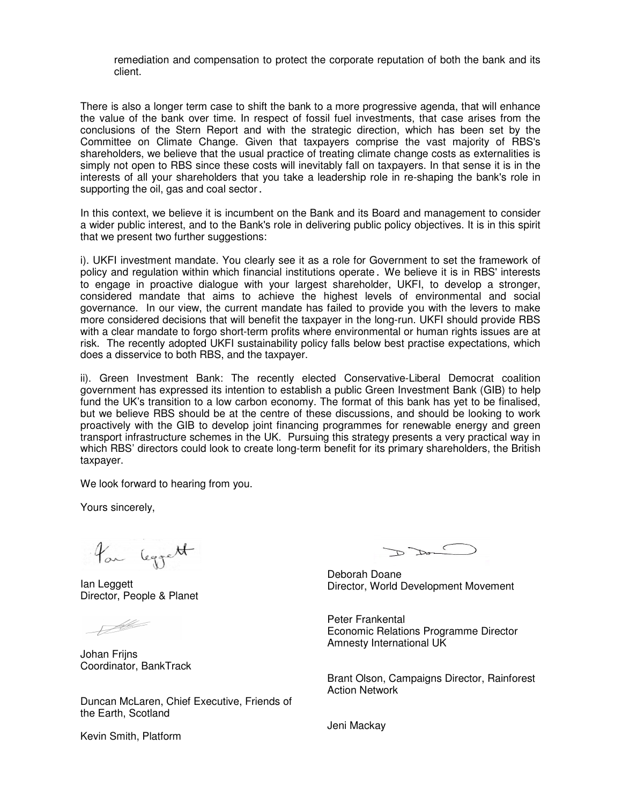remediation and compensation to protect the corporate reputation of both the bank and its client.

There is also a longer term case to shift the bank to a more progressive agenda, that will enhance the value of the bank over time. In respect of fossil fuel investments, that case arises from the conclusions of the Stern Report and with the strategic direction, which has been set by the Committee on Climate Change. Given that taxpayers comprise the vast majority of RBS's shareholders, we believe that the usual practice of treating climate change costs as externalities is simply not open to RBS since these costs will inevitably fall on taxpayers. In that sense it is in the interests of all your shareholders that you take a leadership role in re-shaping the bank's role in supporting the oil, gas and coal sector.

In this context, we believe it is incumbent on the Bank and its Board and management to consider a wider public interest, and to the Bank's role in delivering public policy objectives. It is in this spirit that we present two further suggestions:

i). UKFI investment mandate. You clearly see it as a role for Government to set the framework of policy and regulation within which financial institutions operate. We believe it is in RBS' interests to engage in proactive dialogue with your largest shareholder, UKFI, to develop a stronger, considered mandate that aims to achieve the highest levels of environmental and social governance. In our view, the current mandate has failed to provide you with the levers to make more considered decisions that will benefit the taxpayer in the long-run. UKFI should provide RBS with a clear mandate to forgo short-term profits where environmental or human rights issues are at risk. The recently adopted UKFI sustainability policy falls below best practise expectations, which does a disservice to both RBS, and the taxpayer.

ii). Green Investment Bank: The recently elected Conservative-Liberal Democrat coalition government has expressed its intention to establish a public Green Investment Bank (GIB) to help fund the UK's transition to a low carbon economy. The format of this bank has yet to be finalised, but we believe RBS should be at the centre of these discussions, and should be looking to work proactively with the GIB to develop joint financing programmes for renewable energy and green transport infrastructure schemes in the UK. Pursuing this strategy presents a very practical way in which RBS' directors could look to create long-term benefit for its primary shareholders, the British taxpayer.

We look forward to hearing from you.

Yours sincerely,

for leggett

Ian Leggett Director, People & Planet

<u>F</u>

Johan Frijns Coordinator, BankTrack

Duncan McLaren, Chief Executive, Friends of the Earth, Scotland

 $D$  Do

Deborah Doane Director, World Development Movement

Peter Frankental Economic Relations Programme Director Amnesty International UK

Brant Olson, Campaigns Director, Rainforest Action Network

Jeni Mackay

Kevin Smith, Platform